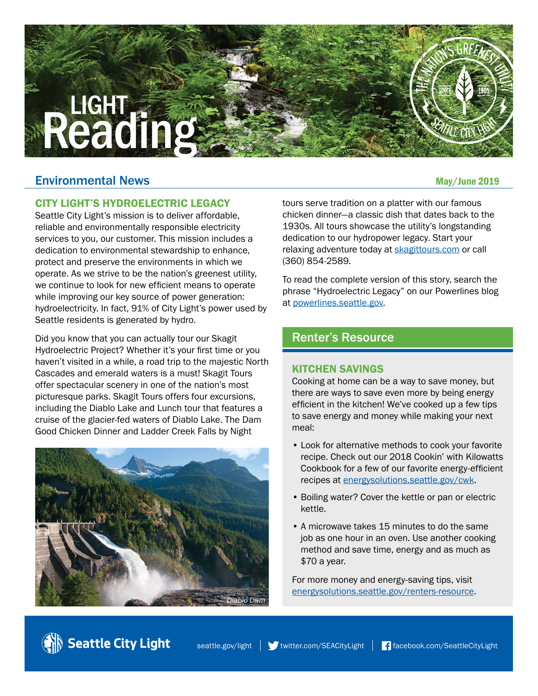# **LIGHT**

# Environmental News and the settlement of the settlement of the settlement of the May/June 2019

# CITY LIGHT'S HYDROELECTRIC LEGACY

Seattle City Light's mission is to deliver affordable, reliable and environmentally responsible electricity services to you, our customer. This mission includes a dedication to environmental stewardship to enhance, protect and preserve the environments in which we operate. As we strive to be the nation's greenest utility, we continue to look for new efficient means to operate while improving our key source of power generation: hydroelectricity. In fact, 91% of City Light's power used by Seattle residents is generated by hydro.

Did you know that you can actually tour our Skagit Hydroelectric Project? Whether it's your first time or you haven't visited in a while, a road trip to the majestic North Cascades and emerald waters is a must! Skagit Tours offer spectacular scenery in one of the nation's most picturesque parks. Skagit Tours offers four excursions, including the Diablo Lake and Lunch tour that features a cruise of the glacier-fed waters of Diablo Lake. The Dam Good Chicken Dinner and Ladder Creek Falls by Night



Seattle City Light

tours serve tradition on a platter with our famous chicken dinner—a classic dish that dates back to the 1930s. All tours showcase the utility's longstanding dedication to our hydropower legacy. Start your relaxing adventure today at [skagittours.com](http://www.skagittours.com) or call (360) 854-2589.

To read the complete version of this story, search the phrase "Hydroelectric Legacy" on our Powerlines blog at [powerlines.seattle.gov.](http://www.powerlines.seattle.gov)

# Renter's Resource

### KITCHEN SAVINGS

Cooking at home can be a way to save money, but there are ways to save even more by being energy efficient in the kitchen! We've cooked up a few tips to save energy and money while making your next meal:

- Look for alternative methods to cook your favorite recipe. Check out our 2018 Cookin' with Kilowatts Cookbook for a few of our favorite energy-efficient recipes at [energysolutions.seattle.gov/cwk.](http://www.energysolutions.seattle.gov/cwk)
- Boiling water? Cover the kettle or pan or electric kettle.
- A microwave takes 15 minutes to do the same job as one hour in an oven. Use another cooking method and save time, energy and as much as \$70 a year.

For more money and energy-saving tips, visit [energysolutions.seattle.gov/renters-resource.](http://www.energysolutions.seattle.gov/renters-resource)